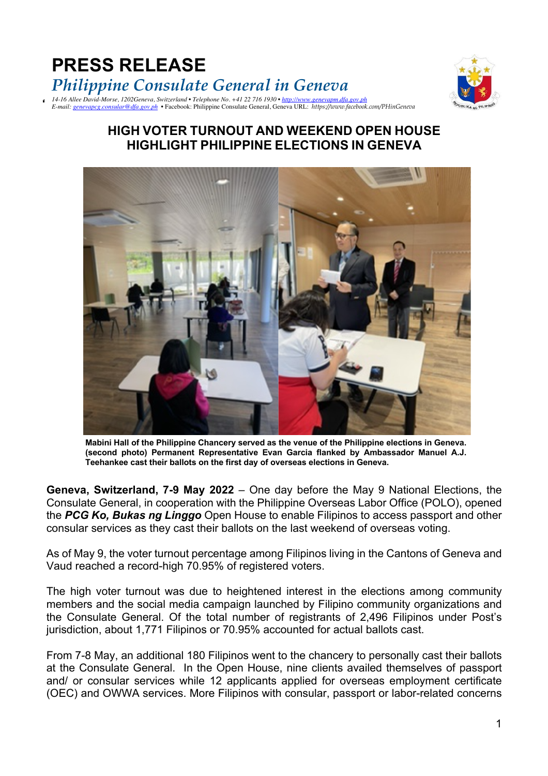



## **HIGH VOTER TURNOUT AND WEEKEND OPEN HOUSE HIGHLIGHT PHILIPPINE ELECTIONS IN GENEVA**



**Mabini Hall of the Philippine Chancery served as the venue of the Philippine elections in Geneva. (second photo) Permanent Representative Evan Garcia flanked by Ambassador Manuel A.J. Teehankee cast their ballots on the first day of overseas elections in Geneva.**

**Geneva, Switzerland, 7-9 May 2022** – One day before the May 9 National Elections, the Consulate General, in cooperation with the Philippine Overseas Labor Office (POLO), opened the *PCG Ko, Bukas ng Linggo* Open House to enable Filipinos to access passport and other consular services as they cast their ballots on the last weekend of overseas voting.

As of May 9, the voter turnout percentage among Filipinos living in the Cantons of Geneva and Vaud reached a record-high 70.95% of registered voters.

The high voter turnout was due to heightened interest in the elections among community members and the social media campaign launched by Filipino community organizations and the Consulate General. Of the total number of registrants of 2,496 Filipinos under Post's jurisdiction, about 1,771 Filipinos or 70.95% accounted for actual ballots cast.

From 7-8 May, an additional 180 Filipinos went to the chancery to personally cast their ballots at the Consulate General. In the Open House, nine clients availed themselves of passport and/ or consular services while 12 applicants applied for overseas employment certificate (OEC) and OWWA services. More Filipinos with consular, passport or labor-related concerns